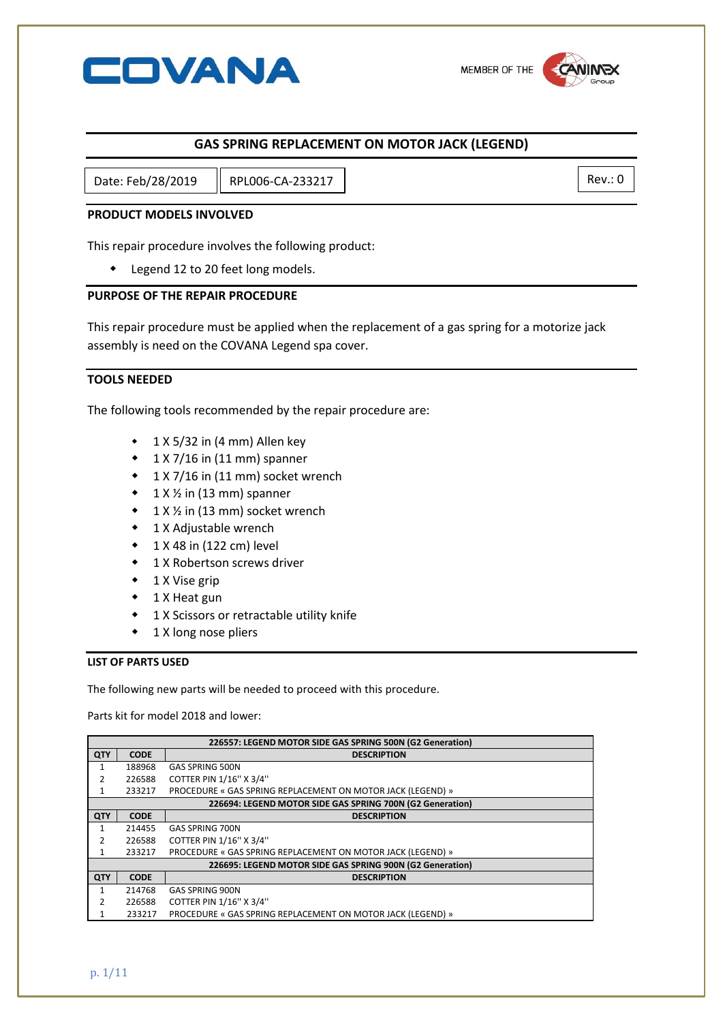

# **GAS SPRING REPLACEMENT ON MOTOR JACK (LEGEND)**

Date: Feb/28/2019 || RPL006-CA-233217 |

## **PRODUCT MODELS INVOLVED**

This repair procedure involves the following product:

Legend 12 to 20 feet long models.

#### **PURPOSE OF THE REPAIR PROCEDURE**

This repair procedure must be applied when the replacement of a gas spring for a motorize jack assembly is need on the COVANA Legend spa cover.

# **TOOLS NEEDED**

The following tools recommended by the repair procedure are:

- $\cdot$  1 X 5/32 in (4 mm) Allen key
- $\cdot$  1 X 7/16 in (11 mm) spanner
- 1 X 7/16 in (11 mm) socket wrench
- $\bullet$  1 X  $\frac{1}{2}$  in (13 mm) spanner
- $\bullet$  1 X % in (13 mm) socket wrench
- 1 X Adjustable wrench
- 1 X 48 in (122 cm) level
- **1 X Robertson screws driver**
- $\bullet$  1 X Vise grip
- ◆ 1 X Heat gun
- 1 X Scissors or retractable utility knife
- $\bullet$  1 X long nose pliers

# **LIST OF PARTS USED**

The following new parts will be needed to proceed with this procedure.

Parts kit for model 2018 and lower:

| 226557: LEGEND MOTOR SIDE GAS SPRING 500N (G2 Generation) |             |                                                             |  |
|-----------------------------------------------------------|-------------|-------------------------------------------------------------|--|
| QTY                                                       | <b>CODE</b> | <b>DESCRIPTION</b>                                          |  |
|                                                           | 188968      | <b>GAS SPRING 500N</b>                                      |  |
|                                                           | 226588      | COTTER PIN 1/16" X 3/4"                                     |  |
|                                                           | 233217      | PROCEDURE « GAS SPRING REPLACEMENT ON MOTOR JACK (LEGEND) » |  |
| 226694: LEGEND MOTOR SIDE GAS SPRING 700N (G2 Generation) |             |                                                             |  |
| QTY                                                       | <b>CODE</b> | <b>DESCRIPTION</b>                                          |  |
|                                                           | 214455      | <b>GAS SPRING 700N</b>                                      |  |
|                                                           | 226588      | COTTER PIN 1/16" X 3/4"                                     |  |
|                                                           | 233217      | PROCEDURE « GAS SPRING REPLACEMENT ON MOTOR JACK (LEGEND) » |  |
| 226695: LEGEND MOTOR SIDE GAS SPRING 900N (G2 Generation) |             |                                                             |  |
| QTY                                                       | <b>CODE</b> | <b>DESCRIPTION</b>                                          |  |
|                                                           | 214768      | <b>GAS SPRING 900N</b>                                      |  |
| 2                                                         | 226588      | COTTER PIN 1/16" X 3/4"                                     |  |
|                                                           | 233217      | PROCEDURE « GAS SPRING REPLACEMENT ON MOTOR JACK (LEGEND) » |  |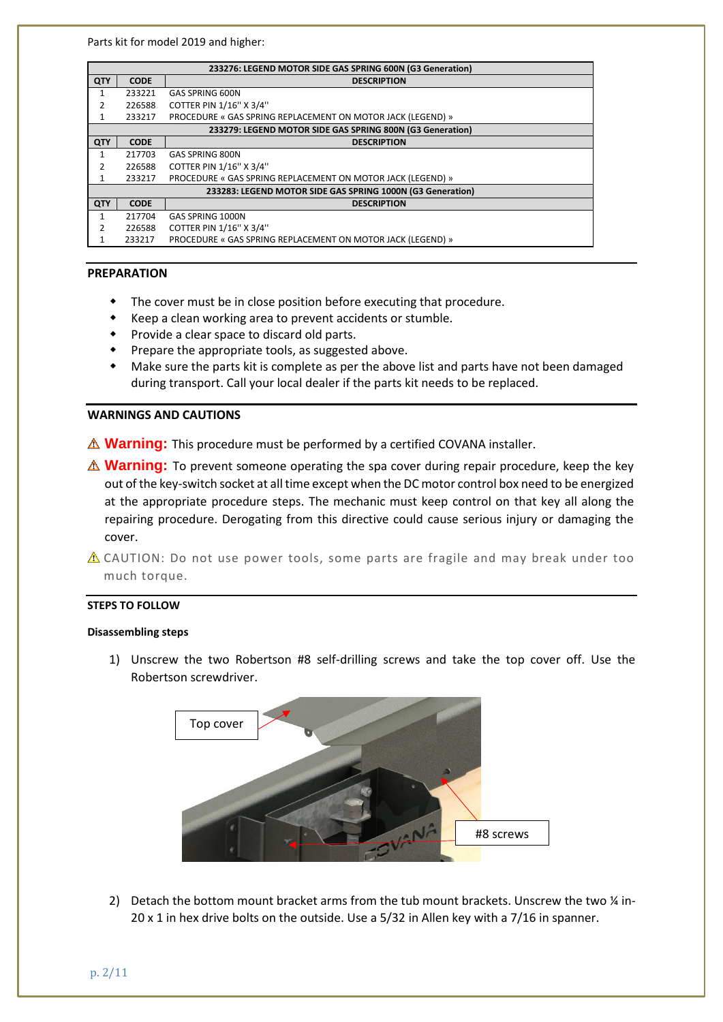Parts kit for model 2019 and higher:

| 233276: LEGEND MOTOR SIDE GAS SPRING 600N (G3 Generation)  |             |                                                             |  |
|------------------------------------------------------------|-------------|-------------------------------------------------------------|--|
| QTY                                                        | <b>CODE</b> | <b>DESCRIPTION</b>                                          |  |
| 1                                                          | 233221      | GAS SPRING 600N                                             |  |
| 2                                                          | 226588      | COTTER PIN 1/16" X 3/4"                                     |  |
| 1                                                          | 233217      | PROCEDURE « GAS SPRING REPLACEMENT ON MOTOR JACK (LEGEND) » |  |
| 233279: LEGEND MOTOR SIDE GAS SPRING 800N (G3 Generation)  |             |                                                             |  |
| QTY                                                        | <b>CODE</b> | <b>DESCRIPTION</b>                                          |  |
| 1                                                          | 217703      | GAS SPRING 800N                                             |  |
| 2                                                          | 226588      | COTTER PIN 1/16" X 3/4"                                     |  |
| 1                                                          | 233217      | PROCEDURE « GAS SPRING REPLACEMENT ON MOTOR JACK (LEGEND) » |  |
| 233283: LEGEND MOTOR SIDE GAS SPRING 1000N (G3 Generation) |             |                                                             |  |
| QTY                                                        | <b>CODE</b> | <b>DESCRIPTION</b>                                          |  |
| 1                                                          | 217704      | GAS SPRING 1000N                                            |  |
| 2                                                          | 226588      | COTTER PIN 1/16" X 3/4"                                     |  |
|                                                            | 233217      | PROCEDURE « GAS SPRING REPLACEMENT ON MOTOR JACK (LEGEND) » |  |

### **PREPARATION**

- The cover must be in close position before executing that procedure.
- Keep a clean working area to prevent accidents or stumble.
- Provide a clear space to discard old parts.
- Prepare the appropriate tools, as suggested above.
- Make sure the parts kit is complete as per the above list and parts have not been damaged during transport. Call your local dealer if the parts kit needs to be replaced.

#### **WARNINGS AND CAUTIONS**

- $\triangle$  **Warning:** This procedure must be performed by a certified COVANA installer.
- *A* Warning: To prevent someone operating the spa cover during repair procedure, keep the key out of the key-switch socket at all time except when the DC motor control box need to be energized at the appropriate procedure steps. The mechanic must keep control on that key all along the repairing procedure. Derogating from this directive could cause serious injury or damaging the cover.
- $\triangle$  CAUTION: Do not use power tools, some parts are fragile and may break under too much torque.

# **STEPS TO FOLLOW**

#### **Disassembling steps**

1) Unscrew the two Robertson #8 self-drilling screws and take the top cover off. Use the Robertson screwdriver.



2) Detach the bottom mount bracket arms from the tub mount brackets. Unscrew the two % in-20 x 1 in hex drive bolts on the outside. Use a 5/32 in Allen key with a 7/16 in spanner.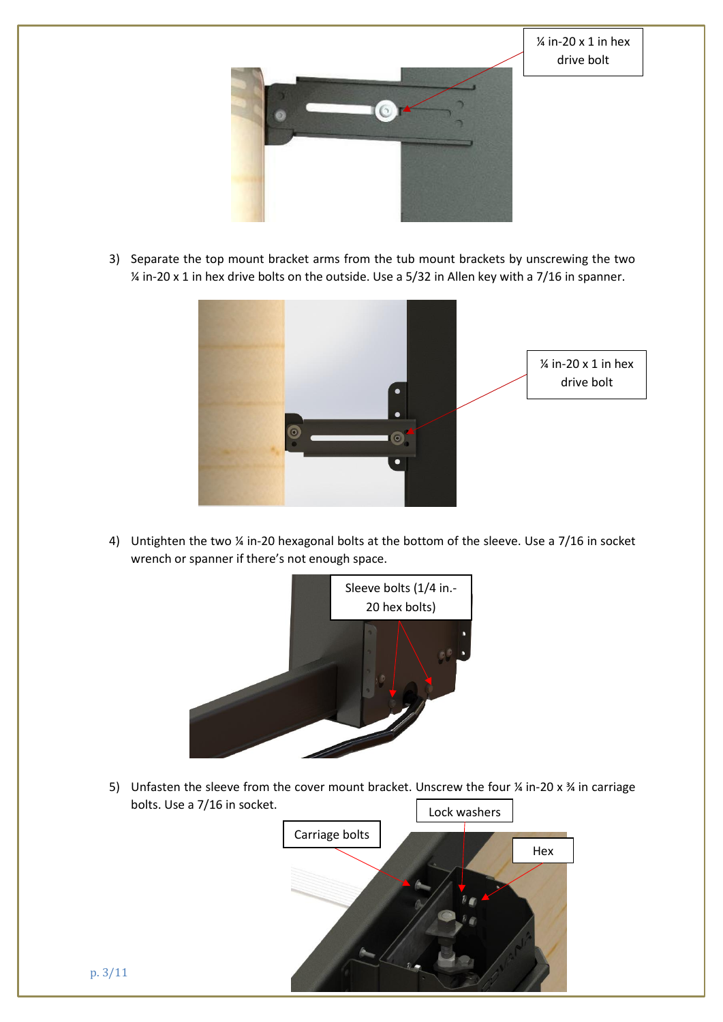

 $\frac{1}{4}$  in-20 x 1 in hex drive bolt

3) Separate the top mount bracket arms from the tub mount brackets by unscrewing the two ¼ in-20 x 1 in hex drive bolts on the outside. Use a 5/32 in Allen key with a 7/16 in spanner.



4) Untighten the two ¼ in-20 hexagonal bolts at the bottom of the sleeve. Use a 7/16 in socket wrench or spanner if there's not enough space.



5) Unfasten the sleeve from the cover mount bracket. Unscrew the four  $\frac{1}{4}$  in-20 x  $\frac{3}{4}$  in carriage bolts. Use a 7/16 in socket.

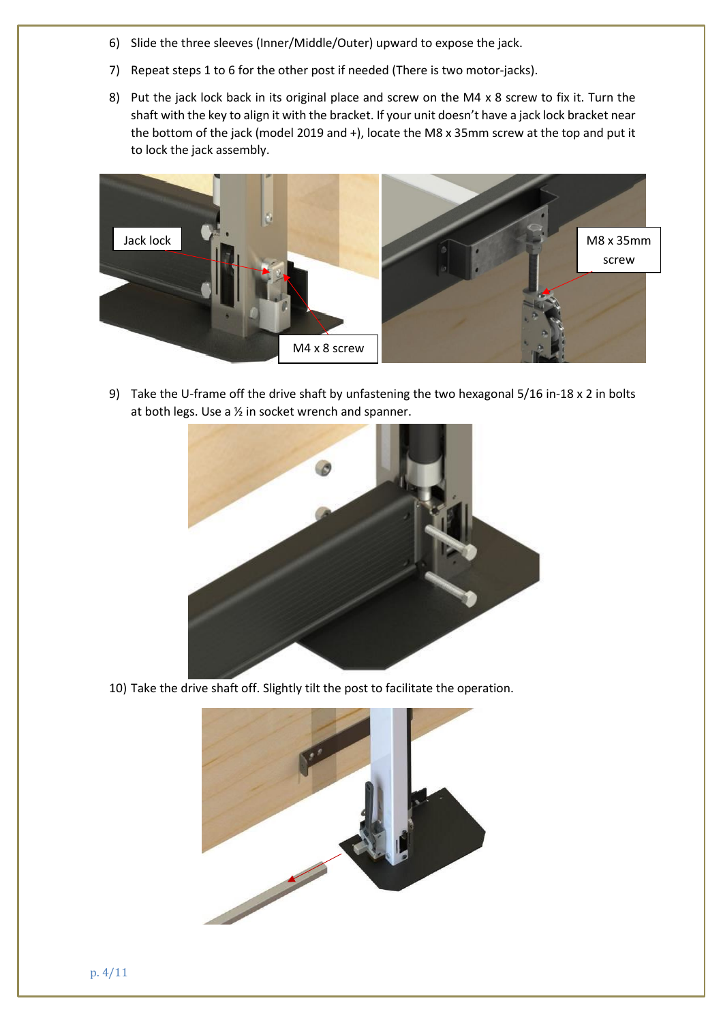- 6) Slide the three sleeves (Inner/Middle/Outer) upward to expose the jack.
- 7) Repeat steps 1 to 6 for the other post if needed (There is two motor-jacks).
- 8) Put the jack lock back in its original place and screw on the M4 x 8 screw to fix it. Turn the shaft with the key to align it with the bracket. If your unit doesn't have a jack lock bracket near the bottom of the jack (model 2019 and +), locate the M8 x 35mm screw at the top and put it to lock the jack assembly.



9) Take the U-frame off the drive shaft by unfastening the two hexagonal 5/16 in-18 x 2 in bolts at both legs. Use a ½ in socket wrench and spanner.



10) Take the drive shaft off. Slightly tilt the post to facilitate the operation.

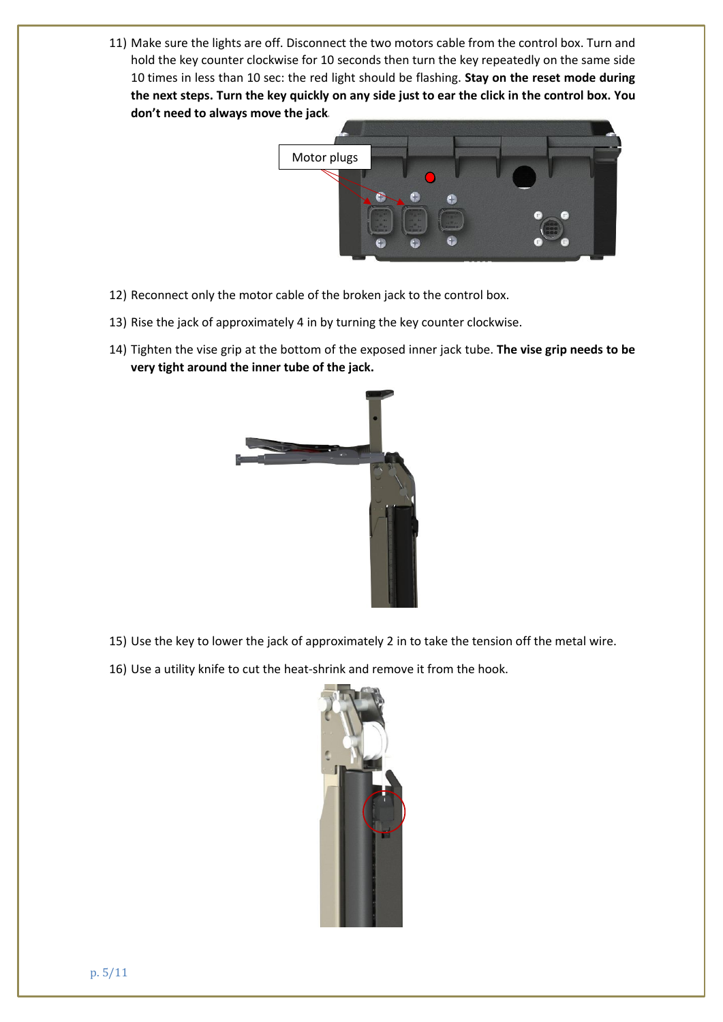11) Make sure the lights are off. Disconnect the two motors cable from the control box. Turn and hold the key counter clockwise for 10 seconds then turn the key repeatedly on the same side 10 times in less than 10 sec: the red light should be flashing. **Stay on the reset mode during the next steps. Turn the key quickly on any side just to ear the click in the control box. You don't need to always move the jack.**



- 12) Reconnect only the motor cable of the broken jack to the control box.
- 13) Rise the jack of approximately 4 in by turning the key counter clockwise.
- 14) Tighten the vise grip at the bottom of the exposed inner jack tube. **The vise grip needs to be very tight around the inner tube of the jack.**



- 15) Use the key to lower the jack of approximately 2 in to take the tension off the metal wire.
- 16) Use a utility knife to cut the heat-shrink and remove it from the hook.

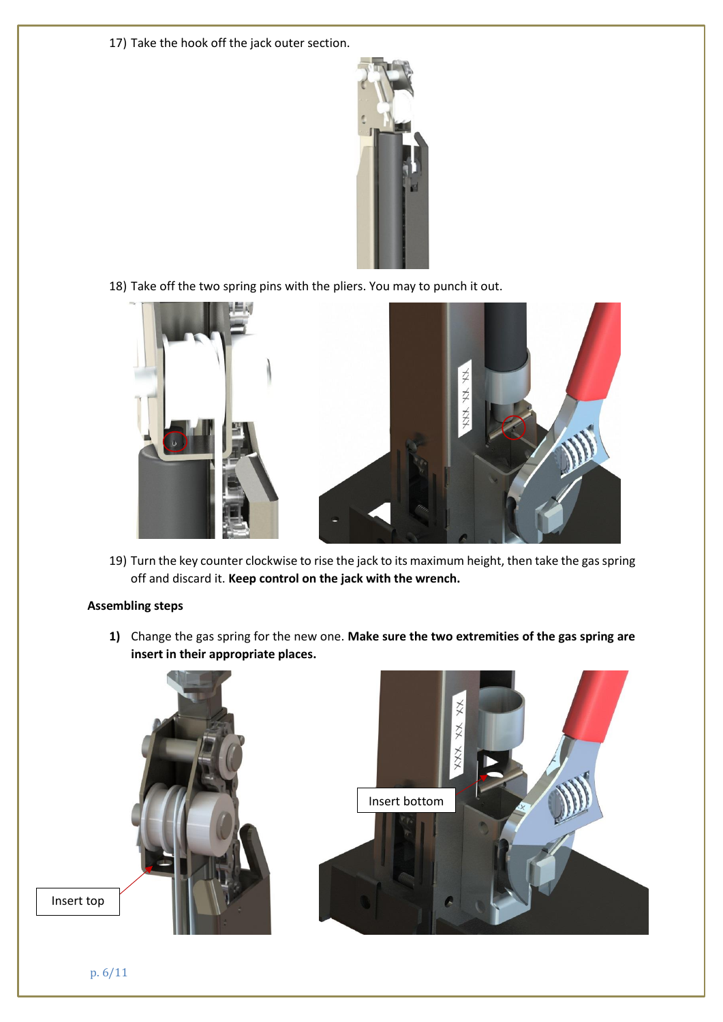17) Take the hook off the jack outer section.



18) Take off the two spring pins with the pliers. You may to punch it out.



19) Turn the key counter clockwise to rise the jack to its maximum height, then take the gas spring off and discard it. **Keep control on the jack with the wrench.**

# **Assembling steps**

**1)** Change the gas spring for the new one. **Make sure the two extremities of the gas spring are insert in their appropriate places.**

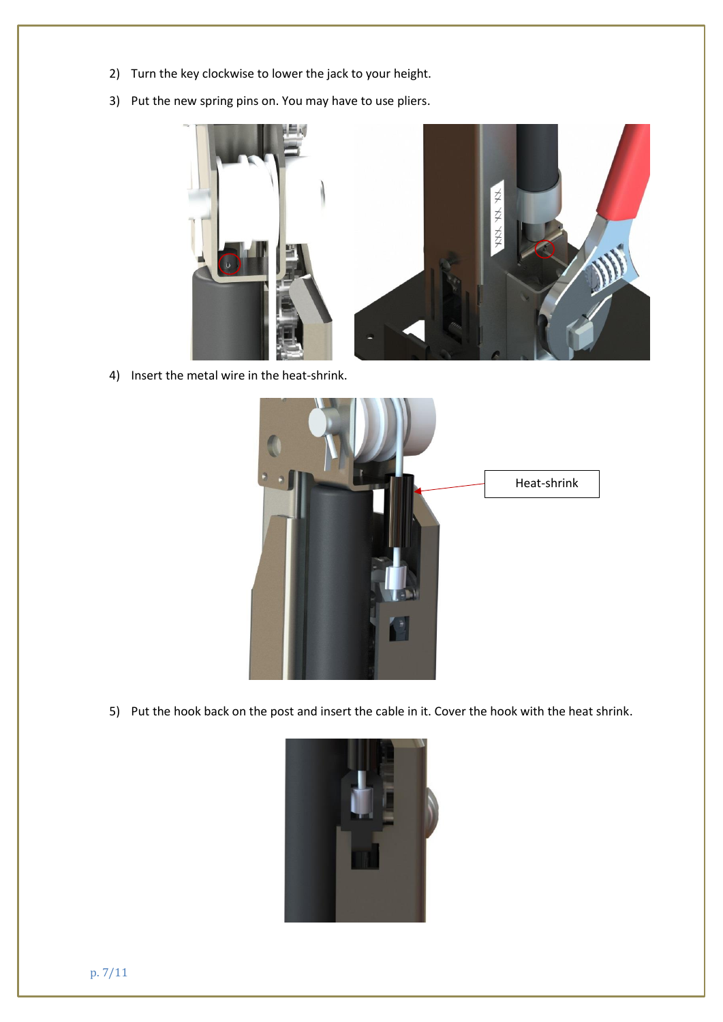- 2) Turn the key clockwise to lower the jack to your height.
- 3) Put the new spring pins on. You may have to use pliers.



4) Insert the metal wire in the heat-shrink.



5) Put the hook back on the post and insert the cable in it. Cover the hook with the heat shrink.

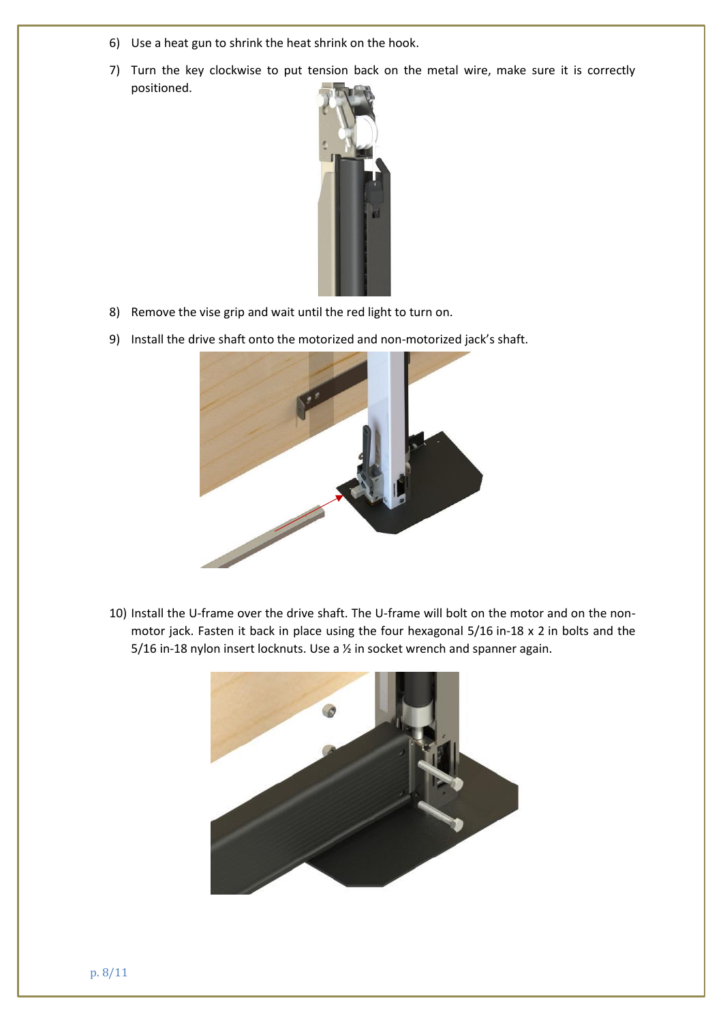- 6) Use a heat gun to shrink the heat shrink on the hook.
- 7) Turn the key clockwise to put tension back on the metal wire, make sure it is correctly positioned.



- 8) Remove the vise grip and wait until the red light to turn on.
- 9) Install the drive shaft onto the motorized and non-motorized jack's shaft.



10) Install the U-frame over the drive shaft. The U-frame will bolt on the motor and on the nonmotor jack. Fasten it back in place using the four hexagonal 5/16 in-18 x 2 in bolts and the 5/16 in-18 nylon insert locknuts. Use a ½ in socket wrench and spanner again.

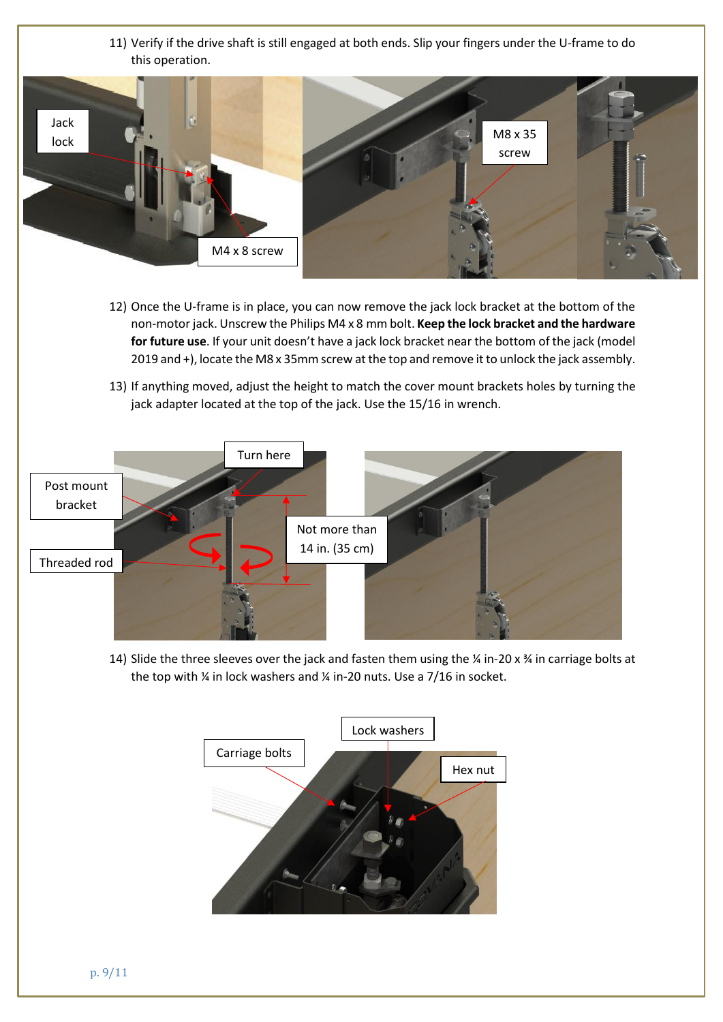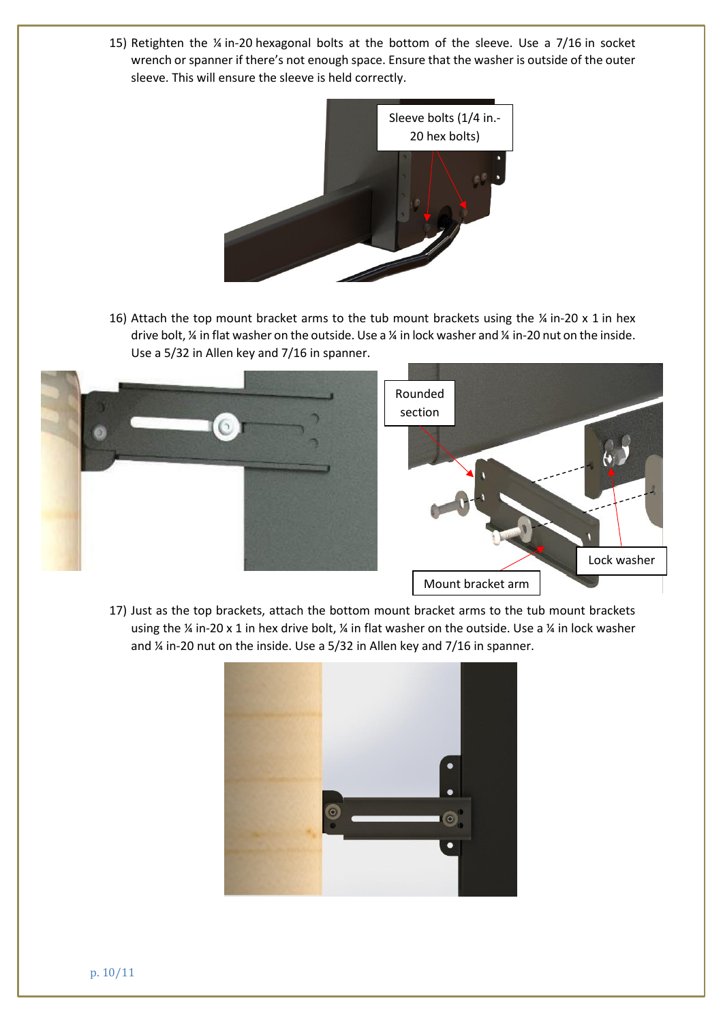15) Retighten the ¼ in-20 hexagonal bolts at the bottom of the sleeve. Use a 7/16 in socket wrench or spanner if there's not enough space. Ensure that the washer is outside of the outer sleeve. This will ensure the sleeve is held correctly.



16) Attach the top mount bracket arms to the tub mount brackets using the  $\frac{1}{4}$  in-20 x 1 in hex drive bolt, ¼ in flat washer on the outside. Use a ¼ in lock washer and ¼ in-20 nut on the inside. Use a 5/32 in Allen key and 7/16 in spanner.



17) Just as the top brackets, attach the bottom mount bracket arms to the tub mount brackets using the ¼ in-20 x 1 in hex drive bolt, ¼ in flat washer on the outside. Use a ¼ in lock washer and ¼ in-20 nut on the inside. Use a 5/32 in Allen key and 7/16 in spanner.